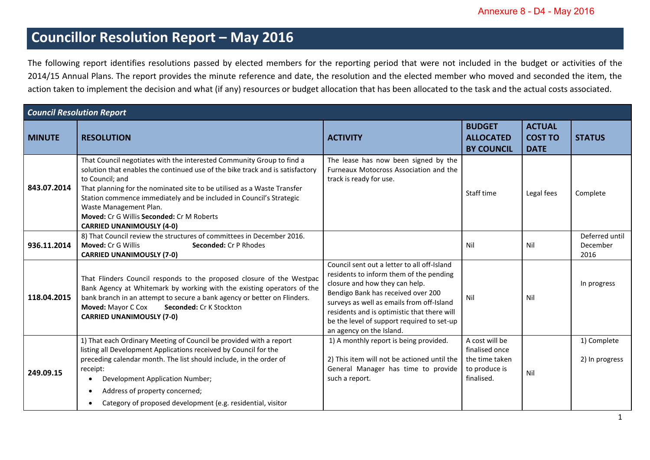## **Councillor Resolution Report – May 2016**

The following report identifies resolutions passed by elected members for the reporting period that were not included in the budget or activities of the 2014/15 Annual Plans. The report provides the minute reference and date, the resolution and the elected member who moved and seconded the item, the action taken to implement the decision and what (if any) resources or budget allocation that has been allocated to the task and the actual costs associated.

| <b>Council Resolution Report</b> |                                                                                                                                                                                                                                                                                                                                                                                                                                        |                                                                                                                                                                                                                                                                                                                                      |                                                                                   |                                                |                                    |  |  |  |  |
|----------------------------------|----------------------------------------------------------------------------------------------------------------------------------------------------------------------------------------------------------------------------------------------------------------------------------------------------------------------------------------------------------------------------------------------------------------------------------------|--------------------------------------------------------------------------------------------------------------------------------------------------------------------------------------------------------------------------------------------------------------------------------------------------------------------------------------|-----------------------------------------------------------------------------------|------------------------------------------------|------------------------------------|--|--|--|--|
| <b>MINUTE</b>                    | <b>RESOLUTION</b>                                                                                                                                                                                                                                                                                                                                                                                                                      | <b>ACTIVITY</b>                                                                                                                                                                                                                                                                                                                      | <b>BUDGET</b><br><b>ALLOCATED</b><br><b>BY COUNCIL</b>                            | <b>ACTUAL</b><br><b>COST TO</b><br><b>DATE</b> | <b>STATUS</b>                      |  |  |  |  |
| 843.07.2014                      | That Council negotiates with the interested Community Group to find a<br>solution that enables the continued use of the bike track and is satisfactory<br>to Council; and<br>That planning for the nominated site to be utilised as a Waste Transfer<br>Station commence immediately and be included in Council's Strategic<br>Waste Management Plan.<br>Moved: Cr G Willis Seconded: Cr M Roberts<br><b>CARRIED UNANIMOUSLY (4-0)</b> | The lease has now been signed by the<br>Furneaux Motocross Association and the<br>track is ready for use.                                                                                                                                                                                                                            | Staff time                                                                        | Legal fees                                     | Complete                           |  |  |  |  |
| 936.11.2014                      | 8) That Council review the structures of committees in December 2016.<br>Moved: Cr G Willis<br><b>Seconded: Cr P Rhodes</b><br><b>CARRIED UNANIMOUSLY (7-0)</b>                                                                                                                                                                                                                                                                        |                                                                                                                                                                                                                                                                                                                                      | Nil                                                                               | Nil                                            | Deferred until<br>December<br>2016 |  |  |  |  |
| 118.04.2015                      | That Flinders Council responds to the proposed closure of the Westpac<br>Bank Agency at Whitemark by working with the existing operators of the<br>bank branch in an attempt to secure a bank agency or better on Flinders.<br>Moved: Mayor C Cox<br>Seconded: Cr K Stockton<br><b>CARRIED UNANIMOUSLY (7-0)</b>                                                                                                                       | Council sent out a letter to all off-Island<br>residents to inform them of the pending<br>closure and how they can help.<br>Bendigo Bank has received over 200<br>surveys as well as emails from off-Island<br>residents and is optimistic that there will<br>be the level of support required to set-up<br>an agency on the Island. | Nil                                                                               | Nil                                            | In progress                        |  |  |  |  |
| 249.09.15                        | 1) That each Ordinary Meeting of Council be provided with a report<br>listing all Development Applications received by Council for the<br>preceding calendar month. The list should include, in the order of<br>receipt:<br>Development Application Number;<br>Address of property concerned;<br>Category of proposed development (e.g. residential, visitor                                                                           | 1) A monthly report is being provided.<br>2) This item will not be actioned until the<br>General Manager has time to provide<br>such a report.                                                                                                                                                                                       | A cost will be<br>finalised once<br>the time taken<br>to produce is<br>finalised. | Nil                                            | 1) Complete<br>2) In progress      |  |  |  |  |